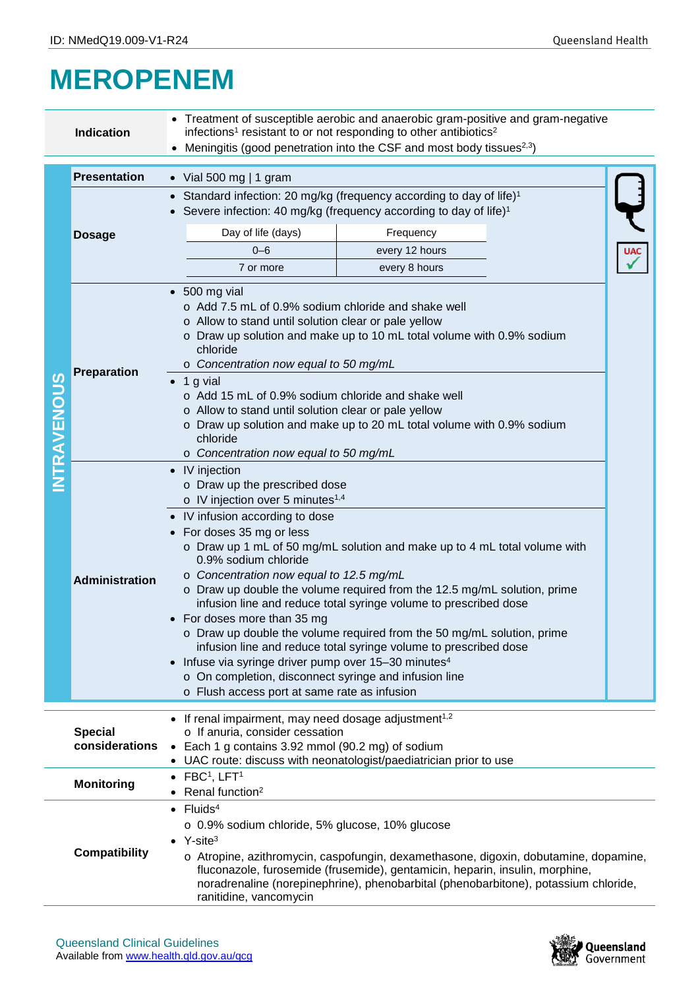## **MEROPENEM**

|                    | <b>Indication</b>                                                                                                                                                                                                                                                  | • Treatment of susceptible aerobic and anaerobic gram-positive and gram-negative<br>infections <sup>1</sup> resistant to or not responding to other antibiotics <sup>2</sup><br>• Meningitis (good penetration into the CSF and most body tissues <sup>2,3</sup> )                                                                                                                                                                                                                                                                                                                                                                                                                                                                                                                                                        |  |  |  |  |  |
|--------------------|--------------------------------------------------------------------------------------------------------------------------------------------------------------------------------------------------------------------------------------------------------------------|---------------------------------------------------------------------------------------------------------------------------------------------------------------------------------------------------------------------------------------------------------------------------------------------------------------------------------------------------------------------------------------------------------------------------------------------------------------------------------------------------------------------------------------------------------------------------------------------------------------------------------------------------------------------------------------------------------------------------------------------------------------------------------------------------------------------------|--|--|--|--|--|
|                    |                                                                                                                                                                                                                                                                    |                                                                                                                                                                                                                                                                                                                                                                                                                                                                                                                                                                                                                                                                                                                                                                                                                           |  |  |  |  |  |
|                    | <b>Presentation</b>                                                                                                                                                                                                                                                | • Vial 500 mg   1 gram                                                                                                                                                                                                                                                                                                                                                                                                                                                                                                                                                                                                                                                                                                                                                                                                    |  |  |  |  |  |
| <b>INTRAVENOUS</b> | <b>Dosage</b>                                                                                                                                                                                                                                                      | • Standard infection: 20 mg/kg (frequency according to day of life) <sup>1</sup><br>• Severe infection: 40 mg/kg (frequency according to day of life) <sup>1</sup>                                                                                                                                                                                                                                                                                                                                                                                                                                                                                                                                                                                                                                                        |  |  |  |  |  |
|                    |                                                                                                                                                                                                                                                                    | Day of life (days)<br>Frequency                                                                                                                                                                                                                                                                                                                                                                                                                                                                                                                                                                                                                                                                                                                                                                                           |  |  |  |  |  |
|                    |                                                                                                                                                                                                                                                                    | $0 - 6$<br>every 12 hours                                                                                                                                                                                                                                                                                                                                                                                                                                                                                                                                                                                                                                                                                                                                                                                                 |  |  |  |  |  |
|                    |                                                                                                                                                                                                                                                                    | 7 or more<br>every 8 hours                                                                                                                                                                                                                                                                                                                                                                                                                                                                                                                                                                                                                                                                                                                                                                                                |  |  |  |  |  |
|                    | <b>Preparation</b>                                                                                                                                                                                                                                                 | $\bullet$ 500 mg vial<br>o Add 7.5 mL of 0.9% sodium chloride and shake well<br>o Allow to stand until solution clear or pale yellow<br>o Draw up solution and make up to 10 mL total volume with 0.9% sodium<br>chloride<br>o Concentration now equal to 50 mg/mL<br>$\bullet$ 1 g vial<br>o Add 15 mL of 0.9% sodium chloride and shake well<br>o Allow to stand until solution clear or pale yellow<br>o Draw up solution and make up to 20 mL total volume with 0.9% sodium<br>chloride<br>o Concentration now equal to 50 mg/mL                                                                                                                                                                                                                                                                                      |  |  |  |  |  |
|                    | <b>Administration</b>                                                                                                                                                                                                                                              | • IV injection<br>o Draw up the prescribed dose<br>o IV injection over 5 minutes <sup>1,4</sup><br>• IV infusion according to dose<br>• For doses 35 mg or less<br>o Draw up 1 mL of 50 mg/mL solution and make up to 4 mL total volume with<br>0.9% sodium chloride<br>o Concentration now equal to 12.5 mg/mL<br>o Draw up double the volume required from the 12.5 mg/mL solution, prime<br>infusion line and reduce total syringe volume to prescribed dose<br>• For doses more than 35 mg<br>o Draw up double the volume required from the 50 mg/mL solution, prime<br>infusion line and reduce total syringe volume to prescribed dose<br>• Infuse via syringe driver pump over 15-30 minutes <sup>4</sup><br>o On completion, disconnect syringe and infusion line<br>o Flush access port at same rate as infusion |  |  |  |  |  |
|                    |                                                                                                                                                                                                                                                                    |                                                                                                                                                                                                                                                                                                                                                                                                                                                                                                                                                                                                                                                                                                                                                                                                                           |  |  |  |  |  |
|                    | • If renal impairment, may need dosage adjustment <sup>1,2</sup><br>o If anuria, consider cessation<br><b>Special</b><br>considerations<br>• Each 1 g contains 3.92 mmol (90.2 mg) of sodium<br>• UAC route: discuss with neonatologist/paediatrician prior to use |                                                                                                                                                                                                                                                                                                                                                                                                                                                                                                                                                                                                                                                                                                                                                                                                                           |  |  |  |  |  |
|                    | <b>Monitoring</b>                                                                                                                                                                                                                                                  | $\bullet$ FBC <sup>1</sup> , LFT <sup>1</sup><br>Renal function <sup>2</sup>                                                                                                                                                                                                                                                                                                                                                                                                                                                                                                                                                                                                                                                                                                                                              |  |  |  |  |  |
|                    | <b>Compatibility</b>                                                                                                                                                                                                                                               | $\bullet$ Fluids <sup>4</sup><br>o 0.9% sodium chloride, 5% glucose, 10% glucose<br>$\bullet$ Y-site <sup>3</sup><br>o Atropine, azithromycin, caspofungin, dexamethasone, digoxin, dobutamine, dopamine,<br>fluconazole, furosemide (frusemide), gentamicin, heparin, insulin, morphine,<br>noradrenaline (norepinephrine), phenobarbital (phenobarbitone), potassium chloride,<br>ranitidine, vancomycin                                                                                                                                                                                                                                                                                                                                                                                                                |  |  |  |  |  |